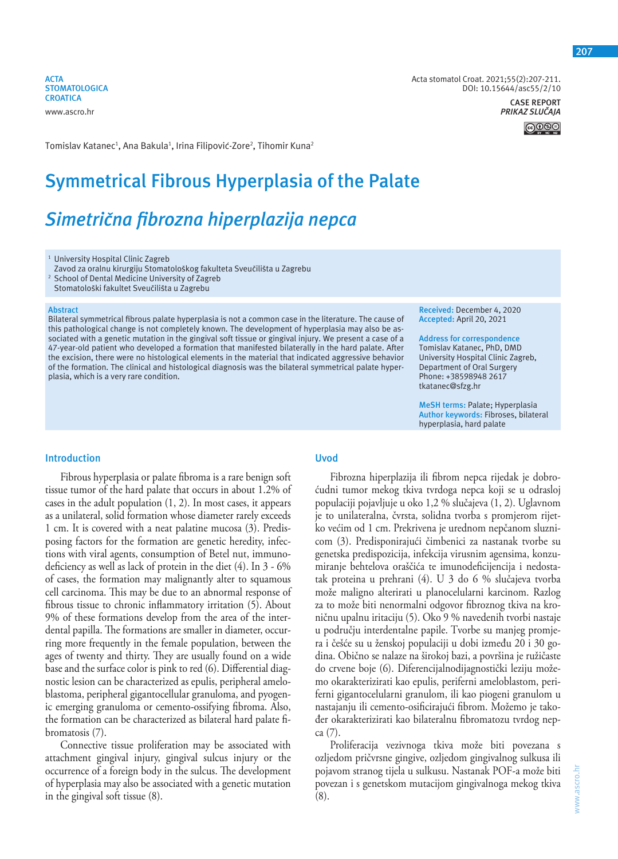**ACTA STOMATOLOGICA CROATICA**

www.ascro.hr

Tomislav Katanec<sup>1</sup>, Ana Bakula<sup>1</sup>, Irina Filipović-Zore<sup>2</sup>, Tihomir Kuna<sup>2</sup>

# **Symmetrical Fibrous Hyperplasia of the Palate**

## *Simetrična fibrozna hiperplazija nepca*

<sup>1</sup> University Hospital Clinic Zagreb

Zavod za oralnu kirurgiju Stomatološkog fakulteta Sveučilišta u Zagrebu

2 School of Dental Medicine University of Zagreb

Stomatološki fakultet Sveučilišta u Zagrebu

#### **Abstract**

Bilateral symmetrical fibrous palate hyperplasia is not a common case in the literature. The cause of this pathological change is not completely known. The development of hyperplasia may also be associated with a genetic mutation in the gingival soft tissue or gingival injury. We present a case of a 47-year-old patient who developed a formation that manifested bilaterally in the hard palate. After the excision, there were no histological elements in the material that indicated aggressive behavior of the formation. The clinical and histological diagnosis was the bilateral symmetrical palate hyperplasia, which is a very rare condition.

**Received:** December 4, 2020 **Accepted:** April 20, 2021

**Address for correspondence** Tomislav Katanec, PhD, DMD University Hospital Clinic Zagreb, Department of Oral Surgery Phone: +38598948 2617 tkatanec@sfzg.hr

**MeSH terms:** Palate; Hyperplasia **Author keywords:** Fibroses, bilateral hyperplasia, hard palate

DOI: 10.15644/asc55/2/10

**CASE REPORT**

**@** 

Acta stomatol Croat. 2021;55(2):207-211.

### **Introduction**

Fibrous hyperplasia or palate fibroma is a rare benign soft tissue tumor of the hard palate that occurs in about 1.2% of cases in the adult population (1, 2). In most cases, it appears as a unilateral, solid formation whose diameter rarely exceeds 1 cm. It is covered with a neat palatine mucosa (3). Predisposing factors for the formation are genetic heredity, infections with viral agents, consumption of Betel nut, immunodeficiency as well as lack of protein in the diet (4). In 3 - 6% of cases, the formation may malignantly alter to squamous cell carcinoma. This may be due to an abnormal response of fibrous tissue to chronic inflammatory irritation (5). About 9% of these formations develop from the area of the interdental papilla. The formations are smaller in diameter, occurring more frequently in the female population, between the ages of twenty and thirty. They are usually found on a wide base and the surface color is pink to red (6). Differential diagnostic lesion can be characterized as epulis, peripheral ameloblastoma, peripheral gigantocellular granuloma, and pyogenic emerging granuloma or cemento-ossifying fibroma. Also, the formation can be characterized as bilateral hard palate fibromatosis (7).

Connective tissue proliferation may be associated with attachment gingival injury, gingival sulcus injury or the occurrence of a foreign body in the sulcus. The development of hyperplasia may also be associated with a genetic mutation in the gingival soft tissue (8).

#### **Uvod**

Fibrozna hiperplazija ili fibrom nepca rijedak je dobroćudni tumor mekog tkiva tvrdoga nepca koji se u odrasloj populaciji pojavljuje u oko 1,2 % slučajeva (1, 2). Uglavnom je to unilateralna, čvrsta, solidna tvorba s promjerom rijetko većim od 1 cm. Prekrivena je urednom nepčanom sluznicom (3). Predisponirajući čimbenici za nastanak tvorbe su genetska predispozicija, infekcija virusnim agensima, konzumiranje behtelova oraščića te imunodeficijencija i nedostatak proteina u prehrani (4). U 3 do 6 % slučajeva tvorba može maligno alterirati u planocelularni karcinom. Razlog za to može biti nenormalni odgovor fibroznog tkiva na kroničnu upalnu iritaciju (5). Oko 9 % navedenih tvorbi nastaje u području interdentalne papile. Tvorbe su manjeg promjera i češće su u ženskoj populaciji u dobi između 20 i 30 godina. Obično se nalaze na širokoj bazi, a površina je ružičaste do crvene boje (6). Diferencijalnodijagnostički leziju možemo okarakterizirati kao epulis, periferni ameloblastom, periferni gigantocelularni granulom, ili kao piogeni granulom u nastajanju ili cemento-osificirajući fibrom. Možemo je također okarakterizirati kao bilateralnu fibromatozu tvrdog nepca (7).

Proliferacija vezivnoga tkiva može biti povezana s ozljedom pričvrsne gingive, ozljedom gingivalnog sulkusa ili pojavom stranog tijela u sulkusu. Nastanak POF-a može biti povezan i s genetskom mutacijom gingivalnoga mekog tkiva (8).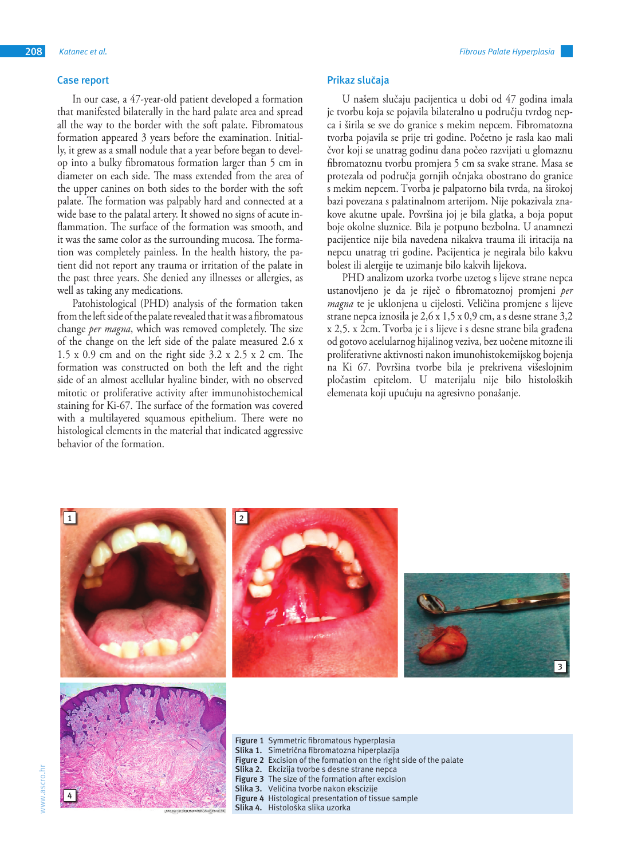#### **Case report**

In our case, a 47-year-old patient developed a formation that manifested bilaterally in the hard palate area and spread all the way to the border with the soft palate. Fibromatous formation appeared 3 years before the examination. Initially, it grew as a small nodule that a year before began to develop into a bulky fibromatous formation larger than 5 cm in diameter on each side. The mass extended from the area of the upper canines on both sides to the border with the soft palate. The formation was palpably hard and connected at a wide base to the palatal artery. It showed no signs of acute inflammation. The surface of the formation was smooth, and it was the same color as the surrounding mucosa. The formation was completely painless. In the health history, the patient did not report any trauma or irritation of the palate in the past three years. She denied any illnesses or allergies, as well as taking any medications.

Patohistological (PHD) analysis of the formation taken from the left side of the palate revealed that it was a fibromatous change *per magna*, which was removed completely. The size of the change on the left side of the palate measured 2.6 x 1.5 x 0.9 cm and on the right side 3.2 x 2.5 x 2 cm. The formation was constructed on both the left and the right side of an almost acellular hyaline binder, with no observed mitotic or proliferative activity after immunohistochemical staining for Ki-67. The surface of the formation was covered with a multilayered squamous epithelium. There were no histological elements in the material that indicated aggressive behavior of the formation.

#### **Prikaz slučaja**

U našem slučaju pacijentica u dobi od 47 godina imala je tvorbu koja se pojavila bilateralno u području tvrdog nepca i širila se sve do granice s mekim nepcem. Fibromatozna tvorba pojavila se prije tri godine. Početno je rasla kao mali čvor koji se unatrag godinu dana počeo razvijati u glomaznu fibromatoznu tvorbu promjera 5 cm sa svake strane. Masa se protezala od područja gornjih očnjaka obostrano do granice s mekim nepcem. Tvorba je palpatorno bila tvrda, na širokoj bazi povezana s palatinalnom arterijom. Nije pokazivala znakove akutne upale. Površina joj je bila glatka, a boja poput boje okolne sluznice. Bila je potpuno bezbolna. U anamnezi pacijentice nije bila navedena nikakva trauma ili iritacija na nepcu unatrag tri godine. Pacijentica je negirala bilo kakvu bolest ili alergije te uzimanje bilo kakvih lijekova.

PHD analizom uzorka tvorbe uzetog s lijeve strane nepca ustanovljeno je da je riječ o fibromatoznoj promjeni *per magna* te je uklonjena u cijelosti. Veličina promjene s lijeve strane nepca iznosila je 2,6 x 1,5 x 0,9 cm, a s desne strane 3,2 x 2,5. x 2cm. Tvorba je i s lijeve i s desne strane bila građena od gotovo acelularnog hijalinog veziva, bez uočene mitozne ili proliferativne aktivnosti nakon imunohistokemijskog bojenja na Ki 67. Površina tvorbe bila je prekrivena višeslojnim pločastim epitelom. U materijalu nije bilo histoloških elemenata koji upućuju na agresivno ponašanje.

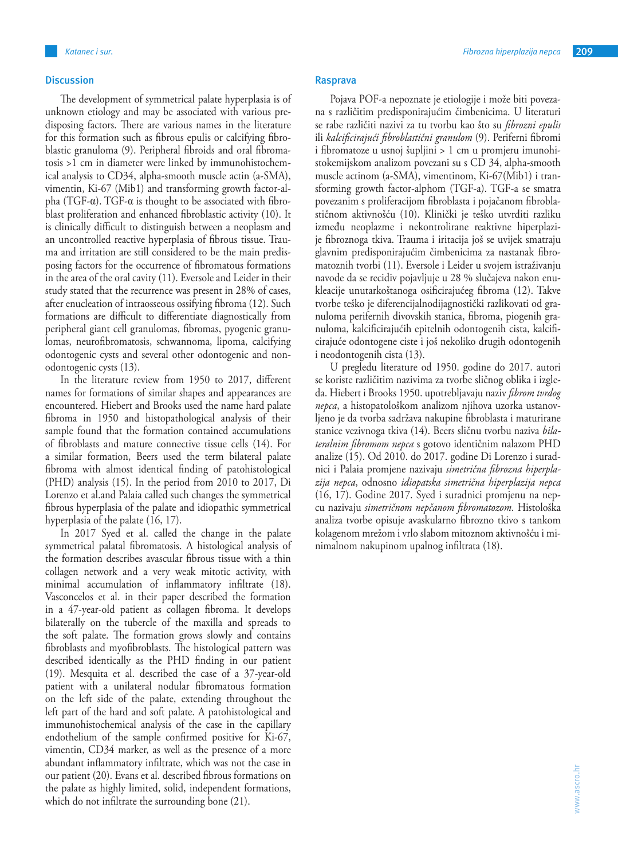#### **Discussion**

The development of symmetrical palate hyperplasia is of unknown etiology and may be associated with various predisposing factors. There are various names in the literature for this formation such as fibrous epulis or calcifying fibroblastic granuloma (9). Peripheral fibroids and oral fibromatosis >1 cm in diameter were linked by immunohistochemical analysis to CD34, alpha-smooth muscle actin (a-SMA), vimentin, Ki-67 (Mib1) and transforming growth factor-alpha (TGF-α). TGF-α is thought to be associated with fibroblast proliferation and enhanced fibroblastic activity (10). It is clinically difficult to distinguish between a neoplasm and an uncontrolled reactive hyperplasia of fibrous tissue. Trauma and irritation are still considered to be the main predisposing factors for the occurrence of fibromatous formations in the area of the oral cavity (11). Eversole and Leider in their study stated that the recurrence was present in 28% of cases, after enucleation of intraosseous ossifying fibroma (12). Such formations are difficult to differentiate diagnostically from peripheral giant cell granulomas, fibromas, pyogenic granulomas, neurofibromatosis, schwannoma, lipoma, calcifying odontogenic cysts and several other odontogenic and nonodontogenic cysts (13).

In the literature review from 1950 to 2017, different names for formations of similar shapes and appearances are encountered. Hiebert and Brooks used the name hard palate fibroma in 1950 and histopathological analysis of their sample found that the formation contained accumulations of fibroblasts and mature connective tissue cells (14). For a similar formation, Beers used the term bilateral palate fibroma with almost identical finding of patohistological (PHD) analysis (15). In the period from 2010 to 2017, Di Lorenzo et al.and Palaia called such changes the symmetrical fibrous hyperplasia of the palate and idiopathic symmetrical hyperplasia of the palate (16, 17).

In 2017 Syed et al. called the change in the palate symmetrical palatal fibromatosis. A histological analysis of the formation describes avascular fibrous tissue with a thin collagen network and a very weak mitotic activity, with minimal accumulation of inflammatory infiltrate (18). Vasconcelos et al. in their paper described the formation in a 47-year-old patient as collagen fibroma. It develops bilaterally on the tubercle of the maxilla and spreads to the soft palate. The formation grows slowly and contains fibroblasts and myofibroblasts. The histological pattern was described identically as the PHD finding in our patient (19). Mesquita et al. described the case of a 37-year-old patient with a unilateral nodular fibromatous formation on the left side of the palate, extending throughout the left part of the hard and soft palate. A patohistological and immunohistochemical analysis of the case in the capillary endothelium of the sample confirmed positive for Ki-67, vimentin, CD34 marker, as well as the presence of a more abundant inflammatory infiltrate, which was not the case in our patient (20). Evans et al. described fibrous formations on the palate as highly limited, solid, independent formations, which do not infiltrate the surrounding bone (21).

Pojava POF-a nepoznate je etiologije i može biti povezana s različitim predisponirajućim čimbenicima. U literaturi se rabe različiti nazivi za tu tvorbu kao što su *fibrozni epulis* ili *kalcificirajući fibroblastični granulom* (9). Periferni fibromi i fibromatoze u usnoj šupljini > 1 cm u promjeru imunohistokemijskom analizom povezani su s CD 34, alpha-smooth muscle actinom (a-SMA), vimentinom, Ki-67(Mib1) i transforming growth factor-alphom (TGF-a). TGF-a se smatra povezanim s proliferacijom fibroblasta i pojačanom fibroblastičnom aktivnošću (10). Klinički je teško utvrditi razliku između neoplazme i nekontrolirane reaktivne hiperplazije fibroznoga tkiva. Trauma i iritacija još se uvijek smatraju glavnim predisponirajućim čimbenicima za nastanak fibromatoznih tvorbi (11). Eversole i Leider u svojem istraživanju navode da se recidiv pojavljuje u 28 % slučajeva nakon enukleacije unutarkoštanoga osificirajućeg fibroma (12). Takve tvorbe teško je diferencijalnodijagnostički razlikovati od granuloma perifernih divovskih stanica, fibroma, piogenih granuloma, kalcificirajućih epitelnih odontogenih cista, kalcificirajuće odontogene ciste i još nekoliko drugih odontogenih i neodontogenih cista (13).

U pregledu literature od 1950. godine do 2017. autori se koriste različitim nazivima za tvorbe sličnog oblika i izgleda. Hiebert i Brooks 1950. upotrebljavaju naziv *fibrom tvrdog nepca*, a histopatološkom analizom njihova uzorka ustanovljeno je da tvorba sadržava nakupine fibroblasta i maturirane stanice vezivnoga tkiva (14). Beers sličnu tvorbu naziva *bilateralnim fibromom nepca* s gotovo identičnim nalazom PHD analize (15). Od 2010. do 2017. godine Di Lorenzo i suradnici i Palaia promjene nazivaju *simetrična fibrozna hiperplazija nepca*, odnosno *idiopatska simetrična hiperplazija nepca* (16, 17). Godine 2017. Syed i suradnici promjenu na nepcu nazivaju *simetričnom nepčanom fibromatozom.* Histološka analiza tvorbe opisuje avaskularno fibrozno tkivo s tankom kolagenom mrežom i vrlo slabom mitoznom aktivnošću i minimalnom nakupinom upalnog infiltrata (18).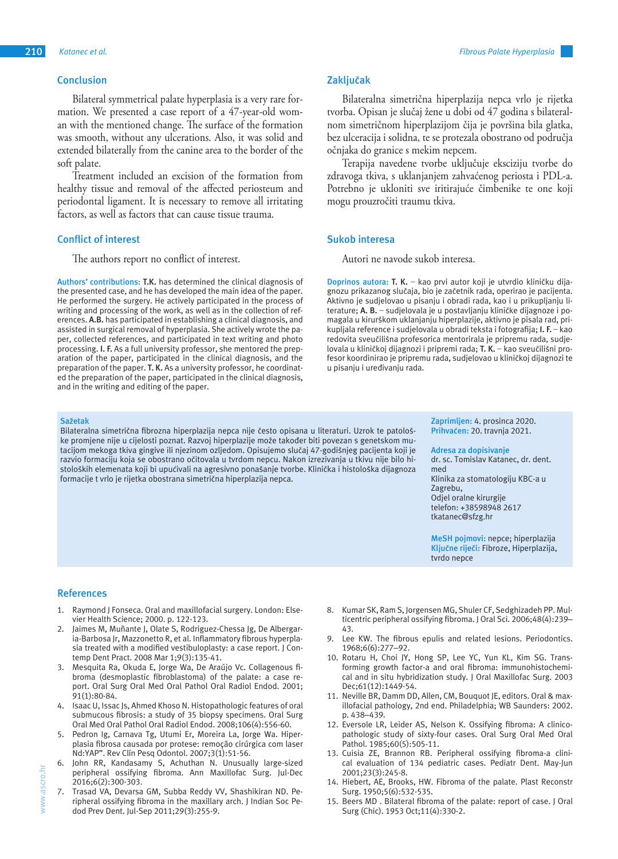#### **Conclusion**

Bilateral symmetrical palate hyperplasia is a very rare formation. We presented a case report of a 47-year-old woman with the mentioned change. The surface of the formation was smooth, without any ulcerations. Also, it was solid and extended bilaterally from the canine area to the border of the soft palate.

Treatment included an excision of the formation from healthy tissue and removal of the affected periosteum and periodontal ligament. It is necessary to remove all irritating factors, as well as factors that can cause tissue trauma.

#### **Conflict of interest**

The authors report no conflict of interest.

**Authors' contributions: T.K.** has determined the clinical diagnosis of the presented case, and he has developed the main idea of the paper. He performed the surgery. He actively participated in the process of writing and processing of the work, as well as in the collection of references. **A.B.** has participated in establishing a clinical diagnosis, and assisted in surgical removal of hyperplasia. She actively wrote the paper, collected references, and participated in text writing and photo processing. **I. F.** As a full university professor, she mentored the preparation of the paper, participated in the clinical diagnosis, and the preparation of the paper. **T. K.** As a university professor, he coordinated the preparation of the paper, participated in the clinical diagnosis, and in the writing and editing of the paper.

#### **Sažetak**

Bilateralna simetrična fibrozna hiperplazija nepca nije često opisana u literaturi. Uzrok te patološke promjene nije u cijelosti poznat. Razvoj hiperplazije može također biti povezan s genetskom mutacijom mekoga tkiva gingive ili njezinom ozljedom. Opisujemo slučaj 47-godišnjeg pacijenta koji je razvio formaciju koja se obostrano očitovala u tvrdom nepcu. Nakon izrezivanja u tkivu nije bilo histoloških elemenata koji bi upućivali na agresivno ponašanje tvorbe. Klinička i histološka dijagnoza formacije t vrlo je rijetka obostrana simetrična hiperplazija nepca.

#### **Zaključak**

Bilateralna simetrična hiperplazija nepca vrlo je rijetka tvorba. Opisan je slučaj žene u dobi od 47 godina s bilateralnom simetričnom hiperplazijom čija je površina bila glatka, bez ulceracija i solidna, te se protezala obostrano od područja očnjaka do granice s mekim nepcem.

Terapija navedene tvorbe uključuje eksciziju tvorbe do zdravoga tkiva, s uklanjanjem zahvaćenog periosta i PDL-a. Potrebno je ukloniti sve iritirajuće čimbenike te one koji mogu prouzročiti traumu tkiva.

#### **Sukob interesa**

Autori ne navode sukob interesa.

**Doprinos autora: T. K.** – kao prvi autor koji je utvrdio kliničku dijagnozu prikazanog slučaja, bio je začetnik rada, operirao je pacijenta. Aktivno je sudjelovao u pisanju i obradi rada, kao i u prikupljanju literature; **A. B.** – sudjelovala je u postavljanju kliničke dijagnoze i pomagala u kirurškom uklanjanju hiperplazije, aktivno je pisala rad, prikupljala reference i sudjelovala u obradi teksta i fotografija; **I. F.** – kao redovita sveučilišna profesorica mentorirala je pripremu rada, sudjelovala u kliničkoj dijagnozi i pripremi rada; **T. K.** – kao sveučilišni profesor koordinirao je pripremu rada, sudjelovao u kliničkoj dijagnozi te u pisanju i uređivanju rada.

> **Zaprimljen:** 4. prosinca 2020. **Prihvaćen:** 20. travnja 2021.

**Adresa za dopisivanje**

dr. sc. Tomislav Katanec, dr. dent. med Klinika za stomatologiju KBC-a u Zagrebu, Odjel oralne kirurgije telefon: +38598948 2617 tkatanec@sfzg.hr

**MeSH pojmovi:** nepce; hiperplazija **Ključne riječi:** Fibroze, Hiperplazija, tvrdo nepce

#### **References**

- 1. Raymond J Fonseca. Oral and maxillofacial surgery. London: Elsevier Health Science; 2000. p. 122-123.
- 2. Jaimes M, Muñante J, Olate S, Rodriguez-Chessa Jg, De Albergaria-Barbosa Jr, Mazzonetto R, et al. Inflammatory fibrous hyperplasia treated with a modified vestibuloplasty: a case report. J Contemp Dent Pract. 2008 Mar 1;9(3):135-41.
- 3. Mesquita Ra, Okuda E, Jorge Wa, De Araújo Vc. Collagenous fibroma (desmoplastic fibroblastoma) of the palate: a case report. Oral Surg Oral Med Oral Pathol Oral Radiol Endod. 2001; 91(1):80-84.
- 4. Isaac U, Issac Js, Ahmed Khoso N. Histopathologic features of oral submucous fibrosis: a study of 35 biopsy specimens. Oral Surg Oral Med Oral Pathol Oral Radiol Endod. 2008;106(4):556-60.
- 5. Pedron Ig, Carnava Tg, Utumi Er, Moreira La, Jorge Wa. Hiperplasia fibrosa causada por protese: remoção cirúrgica com laser Nd:YAP". Rev Clín Pesq Odontol. 2007;3(1):51-56.
- 6. John RR, Kandasamy S, Achuthan N. Unusually large-sized peripheral ossifying fibroma. Ann Maxillofac Surg. Jul-Dec 2016;6(2):300-303.
- 7. Trasad VA, Devarsa GM, Subba Reddy VV, Shashikiran ND. Peripheral ossifying fibroma in the maxillary arch. J Indian Soc Pedod Prev Dent. Jul-Sep 2011;29(3):255-9.
- 8. Kumar SK, Ram S, Jorgensen MG, Shuler CF, Sedghizadeh PP. Multicentric peripheral ossifying fibroma. J Oral Sci. 2006;48(4):239– 43.
- 9. Lee KW. The fibrous epulis and related lesions. Periodontics. 1968;6(6):277–92.
- 10. Rotaru H, Choi JY, Hong SP, Lee YC, Yun KL, Kim SG. Transforming growth factor-a and oral fibroma: immunohistochemical and in situ hybridization study. J Oral Maxillofac Surg. 2003 Dec;61(12):1449-54.
- 11. Neville BR, Damm DD, Allen, CM, Bouquot JE, editors. Oral & maxillofacial pathology, 2nd end. Philadelphia; WB Saunders: 2002. p. 438–439.
- 12. Eversole LR, Leider AS, Nelson K. Ossifying fibroma: A clinicopathologic study of sixty-four cases. Oral Surg Oral Med Oral Pathol. 1985;60(5):505-11.
- 13. Cuisia ZE, Brannon RB. Peripheral ossifying fibroma-a clinical evaluation of 134 pediatric cases. Pediatr Dent. May-Jun 2001;23(3):245-8.
- 14. Hiebert, AE, Brooks, HW. Fibroma of the palate. Plast Reconstr Surg. 1950;5(6):532-535.
- 15. Beers MD . Bilateral fibroma of the palate: report of case. J Oral Surg (Chic). 1953 Oct;11(4):330-2.